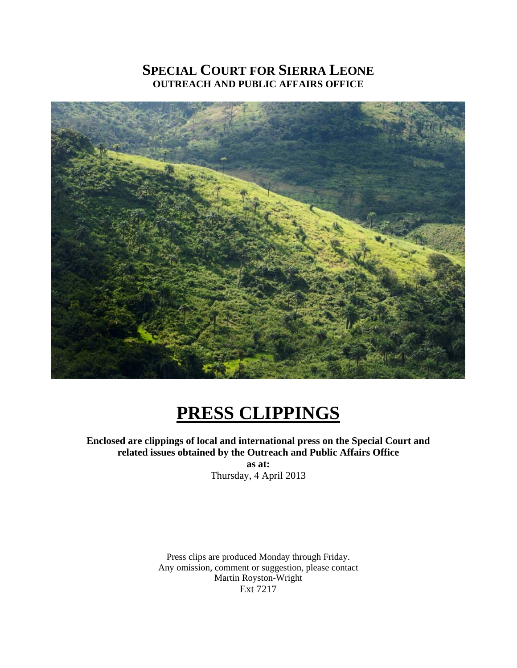# **SPECIAL COURT FOR SIERRA LEONE OUTREACH AND PUBLIC AFFAIRS OFFICE**



# **PRESS CLIPPINGS**

**Enclosed are clippings of local and international press on the Special Court and related issues obtained by the Outreach and Public Affairs Office** 

**as at:**  Thursday, 4 April 2013

Press clips are produced Monday through Friday. Any omission, comment or suggestion, please contact Martin Royston-Wright Ext 7217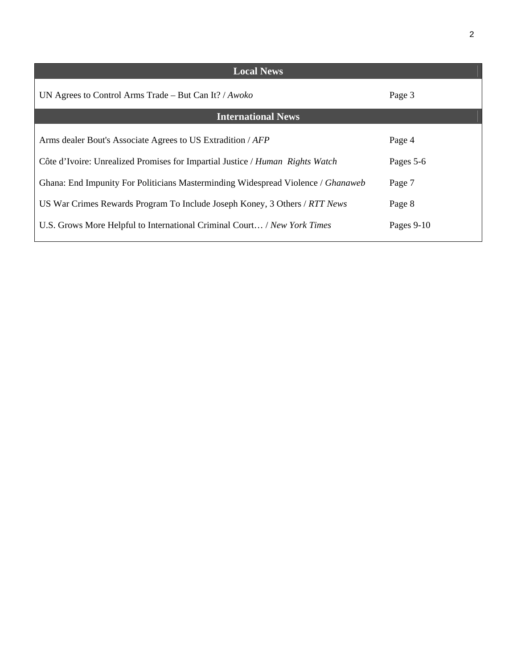| <b>Local News</b>                                                                |              |
|----------------------------------------------------------------------------------|--------------|
| UN Agrees to Control Arms Trade – But Can It? / $Awoko$                          | Page 3       |
| <b>International News</b>                                                        |              |
| Arms dealer Bout's Associate Agrees to US Extradition / AFP                      | Page 4       |
| Côte d'Ivoire: Unrealized Promises for Impartial Justice / Human Rights Watch    | Pages 5-6    |
| Ghana: End Impunity For Politicians Masterminding Widespread Violence / Ghanaweb | Page 7       |
| US War Crimes Rewards Program To Include Joseph Koney, 3 Others / RTT News       | Page 8       |
| U.S. Grows More Helpful to International Criminal Court / New York Times         | Pages $9-10$ |
|                                                                                  |              |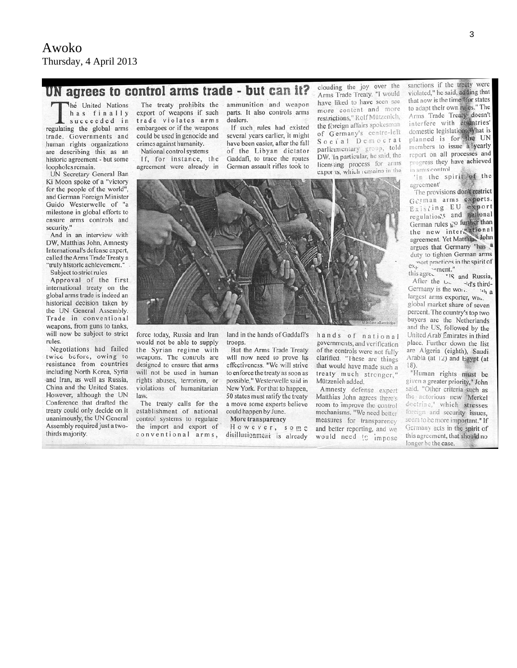#### Awoko Thursday, 4 April 2013

# UN agrees to control arms trade - but can it?

The United Nations has finally succeeded in regulating the global arms trade. Governments and human rights organizations are describing this as an historic agreement - but some loopholes remain.

UN Secretary General Ban Ki Moon spoke of a "victory for the people of the world", and German Foreign Minister Guido Westerwelle of "a milestone in global efforts to ensure arms controls and security."

And in an interview with DW, Matthias John, Amnesty International's defense expert, called the Arms Trade Treaty a "truly historic achievement."

Subject to strict rules

Approval of the first international treaty on the global arms trade is indeed an historical decision taken by the UN General Assembly. Trade in conventional weapons, from guns to tanks, will now be subject to strict rules.

Negotiations had failed twice before, owing to resistance from countries including North Korea, Syria and Iran, as well as Russia, China and the United States. However, although the UN Conference that drafted the treaty could only decide on it unanimously, the UN General Assembly required just a twothirds majority.

The treaty prohibits the export of weapons if such trade violates arms embargoes or if the weapons could be used in genocide and crimes against humanity.

National control systems If, for instance, the agreement were already in

ammunition and weapon parts. It also controls arms dealers.

If such rules had existed several years earlier, it might have been easier, after the fall of the Libyan dictator Gaddafi, to trace the routes German assault rifles took to



force today, Russia and Iran would not be able to supply the Syrian regime with weapons. The controls are designed to ensure that arms will not be used in human rights abuses, terrorism, or violations of humanitarian law.

The treaty calls for the establishment of national control systems to regulate the import and export of conventional arms, land in the hands of Gaddafi's troops.

But the Arms Trade Treaty will now need to prove its effectiveness. "We will strive to enforce the treaty as soon as possible," Westerwelle said in New York. For that to happen, 50 states must ratify the treaty a move some experts believe could happen by June.

More transparency However, some disillusionment is already

hands of national governments, and verification of the controls were not fully clarified. "These are things that would have made such a treaty much stronger," Mützenich added.

clouding the joy over the

Arms Trade Treaty. "I would

have liked to have seen see

more content and more

restrictions," Rolf Mützenich,

the foreign affairs spokesman

of Germany's centre-left

Social Democrat

parliamentary group, told

DW. In particular, he said, the

licensing process for arms

Amnesty defense expert Matthias John agrees there's room to improve the control mechanisms. "We need better measures for transparency and better reporting, and we would need to impose sanctions if the treaty were violated," he said, adding that that now is the time "for states to adapt their own rules." The Arms Trade Treaty doesn't interfere with countries' domestic legislations. What is planned is for the UN members to issue a yearly report on all processes and progress they have achieved in arms control.

'In the spirit of the agreement'

The provisions don't restrict German arms exports.<br>Existing EU export regulation's and national German rules go further than the new interinational agreement. Yet Matthias John argues that Germany "has a duty to tighten German arms  $\frac{1}{2}$  content practices in the spirit of  $\frac{ex_p}{\text{this agree}}$  ...

his agree. The T<sub>S</sub> and Russia,<br>After the U<sub>2</sub> -1d's third-Germany is the won.  $4h$  a largest arms exporter, wn. global market share of seven percent. The country's top two buyers are the Netherlands and the US, followed by the United Arab Emirates in third place. Further down the list are Algeria (eighth), Saudi Arabia (at 12) and Egypt (at  $18$ ).

"Human rights must be given a greater priority," John said. "Other criteria such as the notorious new 'Merkel doctrine,' which stresses foreign and security issues, seem to be more important." If Germany acts in the spirit of this agreement, that should no longer be the case.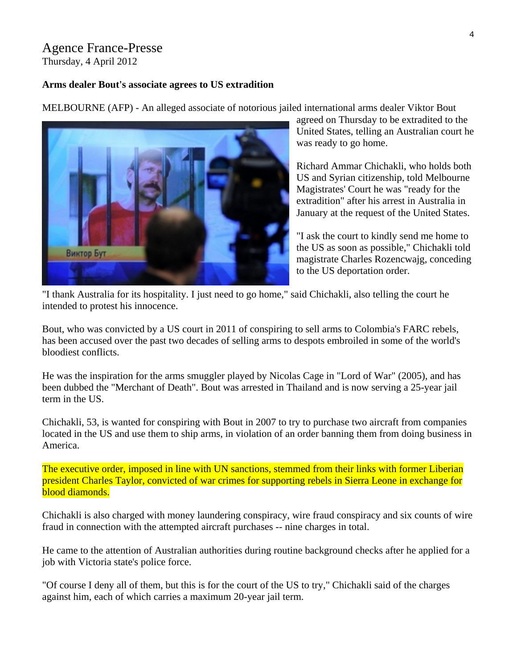## Agence France-Presse

Thursday, 4 April 2012

#### **Arms dealer Bout's associate agrees to US extradition**

MELBOURNE (AFP) - An alleged associate of notorious jailed international arms dealer Viktor Bout



agreed on Thursday to be extradited to the United States, telling an Australian court h e was ready to go home.

Richard Ammar Chichakli, who holds both US and Syrian citizenship, told Melbourne Magistrates' Court he was "ready for the extradition" after his arrest in Australia in January at the request of the United States.

"I ask the court to kindly send me home to the US as soon as possible," Chichakli told magistrate Charles Rozencwajg, conceding to the US deportation order.

"I thank Australia for its hospitality. I just need to go home," said Chichakli, also telling the court he intended to protest his innocence.

Bout, who was convicted by a US court in 2011 of conspiring to sell arms to Colombia's FARC rebels, has been accused over the past two decades of selling arms to despots embroiled in some of the world's bloodiest conflicts.

He was the inspiration for the arms smuggler played by Nicolas Cage in "Lord of War" (2005), and has been dubbed the "Merchant of Death". Bout was arrested in Thailand and is now serving a 25-year jail term in the US.

Chichakli, 53, is wanted for conspiring with Bout in 2007 to try to purchase two aircraft from companies located in the US and use them to ship arms, in violation of an order banning them from doing business in America.

The executive order, imposed in line with UN sanctions, stemmed from their links with former Liberian president Charles Taylor, convicted of war crimes for supporting rebels in Sierra Leone in exchange for blood diamonds.

Chichakli is also charged with money laundering conspiracy, wire fraud conspiracy and six counts of wire fraud in connection with the attempted aircraft purchases -- nine charges in total.

He came to the attention of Australian authorities during routine background checks after he applied for a job with Victoria state's police force.

"Of course I deny all of them, but this is for the court of the US to try," Chichakli said of the charges against him, each of which carries a maximum 20-year jail term.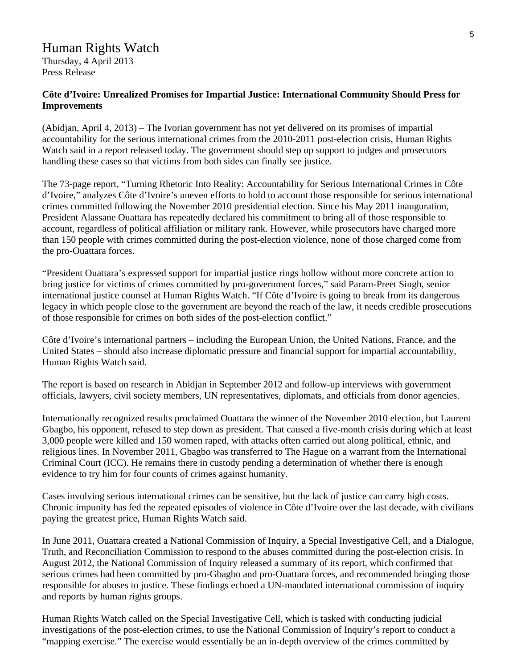## Human Rights Watch

Thursday, 4 April 2013 Press Release

#### **Côte d'Ivoire: Unrealized Promises for Impartial Justice: International Community Should Press for Improvements**

(Abidjan, April 4, 2013) – The Ivorian government has not yet delivered on its promises of impartial accountability for the serious international crimes from the 2010-2011 post-election crisis, Human Rights Watch said in a report released today. The government should step up support to judges and prosecutors handling these cases so that victims from both sides can finally see justice.

The 73-page report, "Turning Rhetoric Into Reality: Accountability for Serious International Crimes in Côte d'Ivoire," analyzes Côte d'Ivoire's uneven efforts to hold to account those responsible for serious international crimes committed following the November 2010 presidential election. Since his May 2011 inauguration, President Alassane Ouattara has repeatedly declared his commitment to bring all of those responsible to account, regardless of political affiliation or military rank. However, while prosecutors have charged more than 150 people with crimes committed during the post-election violence, none of those charged come from the pro-Ouattara forces.

"President Ouattara's expressed support for impartial justice rings hollow without more concrete action to bring justice for victims of crimes committed by pro-government forces," said Param-Preet Singh, senior international justice counsel at Human Rights Watch. "If Côte d'Ivoire is going to break from its dangerous legacy in which people close to the government are beyond the reach of the law, it needs credible prosecutions of those responsible for crimes on both sides of the post-election conflict."

Côte d'Ivoire's international partners – including the European Union, the United Nations, France, and the United States – should also increase diplomatic pressure and financial support for impartial accountability, Human Rights Watch said.

The report is based on research in Abidjan in September 2012 and follow-up interviews with government officials, lawyers, civil society members, UN representatives, diplomats, and officials from donor agencies.

Internationally recognized results proclaimed Ouattara the winner of the November 2010 election, but Laurent Gbagbo, his opponent, refused to step down as president. That caused a five-month crisis during which at least 3,000 people were killed and 150 women raped, with attacks often carried out along political, ethnic, and religious lines. In November 2011, Gbagbo was transferred to The Hague on a warrant from the International Criminal Court (ICC). He remains there in custody pending a determination of whether there is enough evidence to try him for four counts of crimes against humanity.

Cases involving serious international crimes can be sensitive, but the lack of justice can carry high costs. Chronic impunity has fed the repeated episodes of violence in Côte d'Ivoire over the last decade, with civilians paying the greatest price, Human Rights Watch said.

In June 2011, Ouattara created a National Commission of Inquiry, a Special Investigative Cell, and a Dialogue, Truth, and Reconciliation Commission to respond to the abuses committed during the post-election crisis. In August 2012, the National Commission of Inquiry released a summary of its report, which confirmed that serious crimes had been committed by pro-Gbagbo and pro-Ouattara forces, and recommended bringing those responsible for abuses to justice. These findings echoed a UN-mandated international commission of inquiry and reports by human rights groups.

Human Rights Watch called on the Special Investigative Cell, which is tasked with conducting judicial investigations of the post-election crimes, to use the National Commission of Inquiry's report to conduct a "mapping exercise." The exercise would essentially be an in-depth overview of the crimes committed by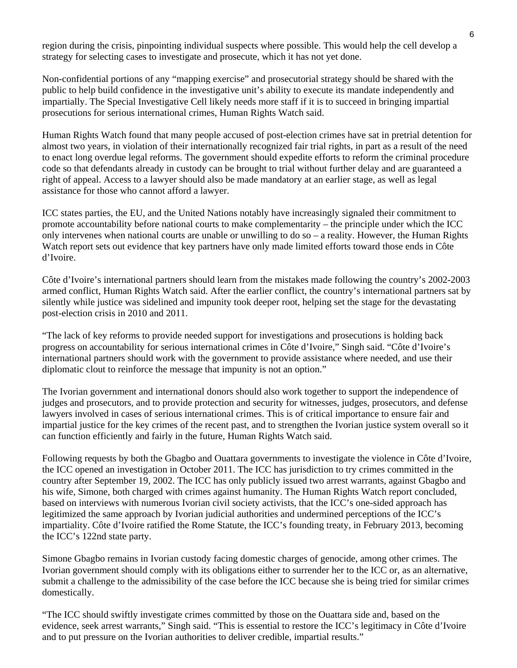region during the crisis, pinpointing individual suspects where possible. This would help the cell develop a strategy for selecting cases to investigate and prosecute, which it has not yet done.

Non-confidential portions of any "mapping exercise" and prosecutorial strategy should be shared with the public to help build confidence in the investigative unit's ability to execute its mandate independently and impartially. The Special Investigative Cell likely needs more staff if it is to succeed in bringing impartial prosecutions for serious international crimes, Human Rights Watch said.

Human Rights Watch found that many people accused of post-election crimes have sat in pretrial detention for almost two years, in violation of their internationally recognized fair trial rights, in part as a result of the need to enact long overdue legal reforms. The government should expedite efforts to reform the criminal procedure code so that defendants already in custody can be brought to trial without further delay and are guaranteed a right of appeal. Access to a lawyer should also be made mandatory at an earlier stage, as well as legal assistance for those who cannot afford a lawyer.

ICC states parties, the EU, and the United Nations notably have increasingly signaled their commitment to promote accountability before national courts to make complementarity – the principle under which the ICC only intervenes when national courts are unable or unwilling to do so – a reality. However, the Human Rights Watch report sets out evidence that key partners have only made limited efforts toward those ends in Côte d'Ivoire.

Côte d'Ivoire's international partners should learn from the mistakes made following the country's 2002-2003 armed conflict, Human Rights Watch said. After the earlier conflict, the country's international partners sat by silently while justice was sidelined and impunity took deeper root, helping set the stage for the devastating post-election crisis in 2010 and 2011.

"The lack of key reforms to provide needed support for investigations and prosecutions is holding back progress on accountability for serious international crimes in Côte d'Ivoire," Singh said. "Côte d'Ivoire's international partners should work with the government to provide assistance where needed, and use their diplomatic clout to reinforce the message that impunity is not an option."

The Ivorian government and international donors should also work together to support the independence of judges and prosecutors, and to provide protection and security for witnesses, judges, prosecutors, and defense lawyers involved in cases of serious international crimes. This is of critical importance to ensure fair and impartial justice for the key crimes of the recent past, and to strengthen the Ivorian justice system overall so it can function efficiently and fairly in the future, Human Rights Watch said.

Following requests by both the Gbagbo and Ouattara governments to investigate the violence in Côte d'Ivoire, the ICC opened an investigation in October 2011. The ICC has jurisdiction to try crimes committed in the country after September 19, 2002. The ICC has only publicly issued two arrest warrants, against Gbagbo and his wife, Simone, both charged with crimes against humanity. The Human Rights Watch report concluded, based on interviews with numerous Ivorian civil society activists, that the ICC's one-sided approach has legitimized the same approach by Ivorian judicial authorities and undermined perceptions of the ICC's impartiality. Côte d'Ivoire ratified the Rome Statute, the ICC's founding treaty, in February 2013, becoming the ICC's 122nd state party.

Simone Gbagbo remains in Ivorian custody facing domestic charges of genocide, among other crimes. The Ivorian government should comply with its obligations either to surrender her to the ICC or, as an alternative, submit a challenge to the admissibility of the case before the ICC because she is being tried for similar crimes domestically.

"The ICC should swiftly investigate crimes committed by those on the Ouattara side and, based on the evidence, seek arrest warrants," Singh said. "This is essential to restore the ICC's legitimacy in Côte d'Ivoire and to put pressure on the Ivorian authorities to deliver credible, impartial results."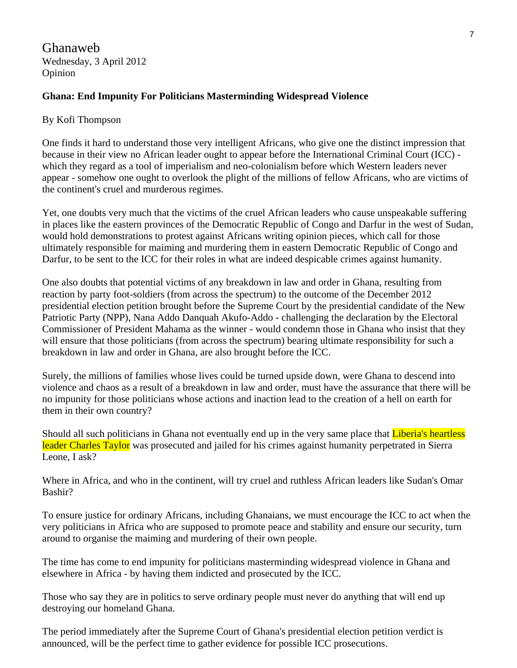Ghanaweb Wednesday, 3 April 2012 Opinion

#### **Ghana: End Impunity For Politicians Masterminding Widespread Violence**

#### By Kofi Thompson

One finds it hard to understand those very intelligent Africans, who give one the distinct impression that because in their view no African leader ought to appear before the International Criminal Court (ICC) which they regard as a tool of imperialism and neo-colonialism before which Western leaders never appear - somehow one ought to overlook the plight of the millions of fellow Africans, who are victims of the continent's cruel and murderous regimes.

Yet, one doubts very much that the victims of the cruel African leaders who cause unspeakable suffering in places like the eastern provinces of the Democratic Republic of Congo and Darfur in the west of Sudan, would hold demonstrations to protest against Africans writing opinion pieces, which call for those ultimately responsible for maiming and murdering them in eastern Democratic Republic of Congo and Darfur, to be sent to the ICC for their roles in what are indeed despicable crimes against humanity.

One also doubts that potential victims of any breakdown in law and order in Ghana, resulting from reaction by party foot-soldiers (from across the spectrum) to the outcome of the December 2012 presidential election petition brought before the Supreme Court by the presidential candidate of the New Patriotic Party (NPP), Nana Addo Danquah Akufo-Addo - challenging the declaration by the Electoral Commissioner of President Mahama as the winner - would condemn those in Ghana who insist that they will ensure that those politicians (from across the spectrum) bearing ultimate responsibility for such a breakdown in law and order in Ghana, are also brought before the ICC.

Surely, the millions of families whose lives could be turned upside down, were Ghana to descend into violence and chaos as a result of a breakdown in law and order, must have the assurance that there will be no impunity for those politicians whose actions and inaction lead to the creation of a hell on earth for them in their own country?

Should all such politicians in Ghana not eventually end up in the very same place that Liberia's heartless leader Charles Taylor was prosecuted and jailed for his crimes against humanity perpetrated in Sierra Leone, I ask?

Where in Africa, and who in the continent, will try cruel and ruthless African leaders like Sudan's Omar Bashir?

To ensure justice for ordinary Africans, including Ghanaians, we must encourage the ICC to act when the very politicians in Africa who are supposed to promote peace and stability and ensure our security, turn around to organise the maiming and murdering of their own people.

The time has come to end impunity for politicians masterminding widespread violence in Ghana and elsewhere in Africa - by having them indicted and prosecuted by the ICC.

Those who say they are in politics to serve ordinary people must never do anything that will end up destroying our homeland Ghana.

The period immediately after the Supreme Court of Ghana's presidential election petition verdict is announced, will be the perfect time to gather evidence for possible ICC prosecutions.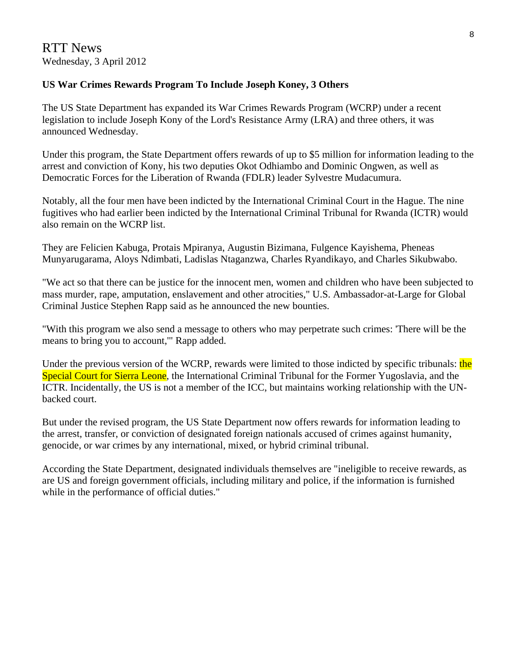#### **US War Crimes Rewards Program To Include Joseph Koney, 3 Others**

The US State Department has expanded its War Crimes Rewards Program (WCRP) under a recent legislation to include Joseph Kony of the Lord's Resistance Army (LRA) and three others, it was announced Wednesday.

Under this program, the State Department offers rewards of up to \$5 million for information leading to the arrest and conviction of Kony, his two deputies Okot Odhiambo and Dominic Ongwen, as well as Democratic Forces for the Liberation of Rwanda (FDLR) leader Sylvestre Mudacumura.

Notably, all the four men have been indicted by the International Criminal Court in the Hague. The nine fugitives who had earlier been indicted by the International Criminal Tribunal for Rwanda (ICTR) would also remain on the WCRP list.

They are Felicien Kabuga, Protais Mpiranya, Augustin Bizimana, Fulgence Kayishema, Pheneas Munyarugarama, Aloys Ndimbati, Ladislas Ntaganzwa, Charles Ryandikayo, and Charles Sikubwabo.

"We act so that there can be justice for the innocent men, women and children who have been subjected to mass murder, rape, amputation, enslavement and other atrocities," U.S. Ambassador-at-Large for Global Criminal Justice Stephen Rapp said as he announced the new bounties.

"With this program we also send a message to others who may perpetrate such crimes: 'There will be the means to bring you to account,'" Rapp added.

Under the previous version of the WCRP, rewards were limited to those indicted by specific tribunals: the Special Court for Sierra Leone, the International Criminal Tribunal for the Former Yugoslavia, and the ICTR. Incidentally, the US is not a member of the ICC, but maintains working relationship with the UNbacked court.

But under the revised program, the US State Department now offers rewards for information leading to the arrest, transfer, or conviction of designated foreign nationals accused of crimes against humanity, genocide, or war crimes by any international, mixed, or hybrid criminal tribunal.

According the State Department, designated individuals themselves are "ineligible to receive rewards, as are US and foreign government officials, including military and police, if the information is furnished while in the performance of official duties."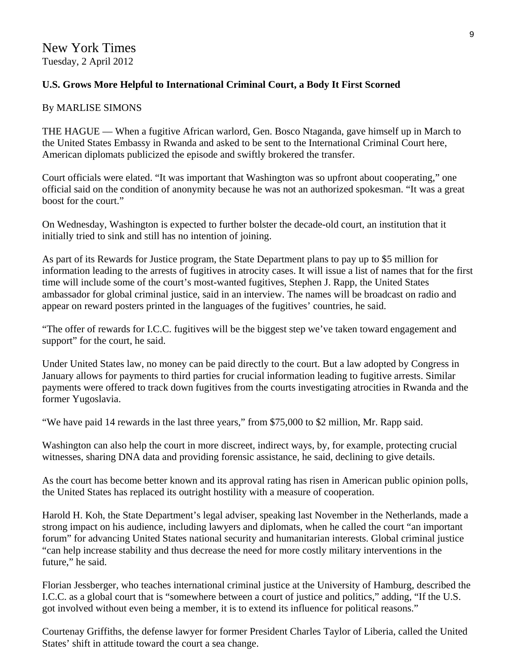### **U.S. Grows More Helpful to International Criminal Court, a Body It First Scorned**

#### By MARLISE SIMONS

THE HAGUE — When a fugitive African warlord, Gen. Bosco Ntaganda, gave himself up in March to the United States Embassy in Rwanda and asked to be sent to the International Criminal Court here, American diplomats publicized the episode and swiftly brokered the transfer.

Court officials were elated. "It was important that Washington was so upfront about cooperating," one official said on the condition of anonymity because he was not an authorized spokesman. "It was a great boost for the court."

On Wednesday, Washington is expected to further bolster the decade-old court, an institution that it initially tried to sink and still has no intention of joining.

As part of its Rewards for Justice program, the State Department plans to pay up to \$5 million for information leading to the arrests of fugitives in atrocity cases. It will issue a list of names that for the first time will include some of the court's most-wanted fugitives, Stephen J. Rapp, the United States ambassador for global criminal justice, said in an interview. The names will be broadcast on radio and appear on reward posters printed in the languages of the fugitives' countries, he said.

"The offer of rewards for I.C.C. fugitives will be the biggest step we've taken toward engagement and support" for the court, he said.

Under United States law, no money can be paid directly to the court. But a law adopted by Congress in January allows for payments to third parties for crucial information leading to fugitive arrests. Similar payments were offered to track down fugitives from the courts investigating atrocities in Rwanda and the former Yugoslavia.

"We have paid 14 rewards in the last three years," from \$75,000 to \$2 million, Mr. Rapp said.

Washington can also help the court in more discreet, indirect ways, by, for example, protecting crucial witnesses, sharing DNA data and providing forensic assistance, he said, declining to give details.

As the court has become better known and its approval rating has risen in American public opinion polls, the United States has replaced its outright hostility with a measure of cooperation.

Harold H. Koh, the State Department's legal adviser, speaking last November in the Netherlands, made a strong impact on his audience, including lawyers and diplomats, when he called the court "an important forum" for advancing United States national security and humanitarian interests. Global criminal justice "can help increase stability and thus decrease the need for more costly military interventions in the future," he said.

Florian Jessberger, who teaches international criminal justice at the University of Hamburg, described the I.C.C. as a global court that is "somewhere between a court of justice and politics," adding, "If the U.S. got involved without even being a member, it is to extend its influence for political reasons."

Courtenay Griffiths, the defense lawyer for former President Charles Taylor of Liberia, called the United States' shift in attitude toward the court a sea change.